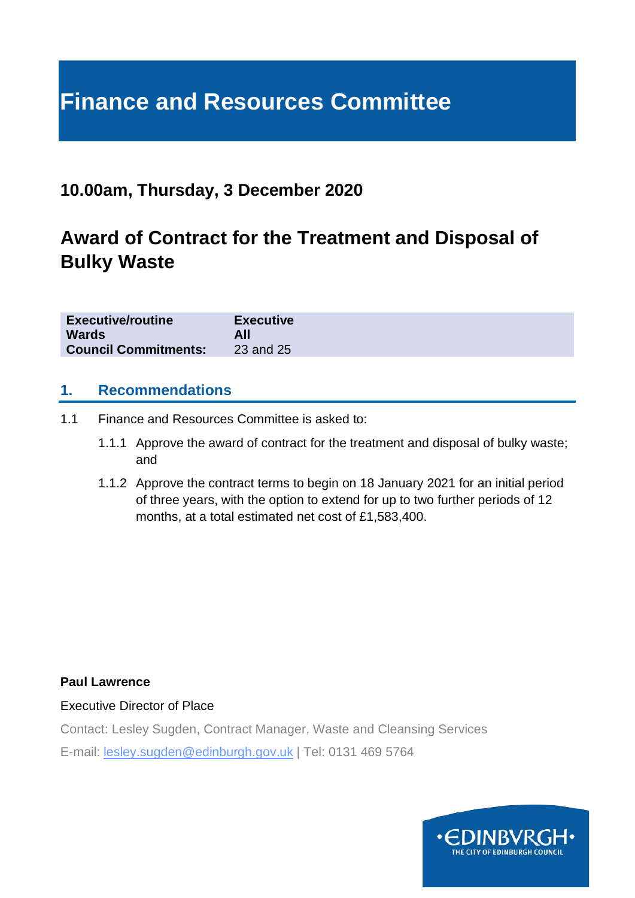# **Finance and Resources Committee**

# **10.00am, Thursday, 3 December 2020**

# **Award of Contract for the Treatment and Disposal of Bulky Waste**

| <b>Executive/routine</b>    | <b>Executive</b> |
|-----------------------------|------------------|
| <b>Wards</b>                | All              |
| <b>Council Commitments:</b> | 23 and 25        |

#### **1. Recommendations**

- 1.1 Finance and Resources Committee is asked to:
	- 1.1.1 Approve the award of contract for the treatment and disposal of bulky waste; and
	- 1.1.2 Approve the contract terms to begin on 18 January 2021 for an initial period of three years, with the option to extend for up to two further periods of 12 months, at a total estimated net cost of £1,583,400.

#### **Paul Lawrence**

Executive Director of Place

Contact: Lesley Sugden, Contract Manager, Waste and Cleansing Services

E-mail: lesley.sugden@edinburgh.gov.uk | Tel: 0131 469 5764

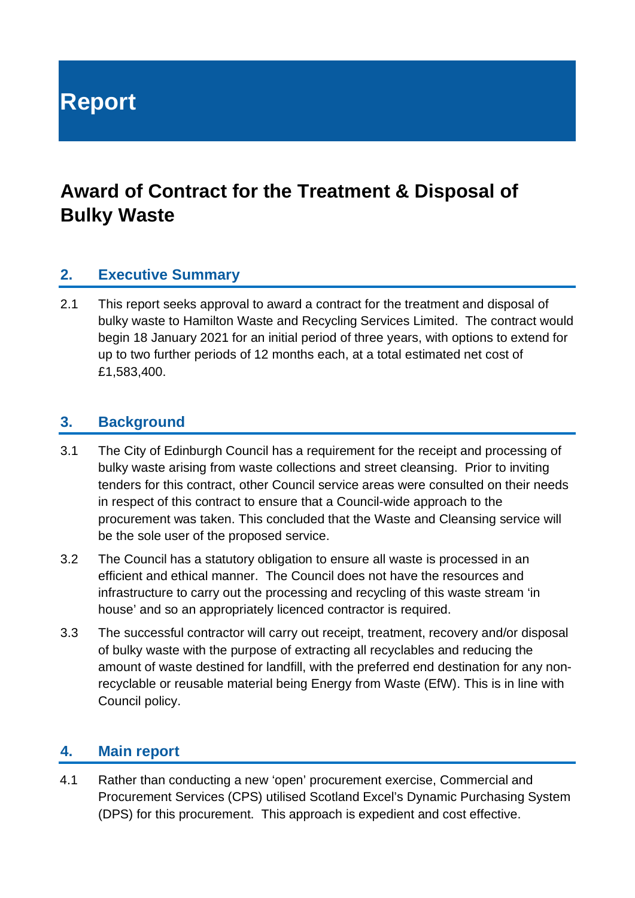**Report**

# **Award of Contract for the Treatment & Disposal of Bulky Waste**

#### **2. Executive Summary**

2.1 This report seeks approval to award a contract for the treatment and disposal of bulky waste to Hamilton Waste and Recycling Services Limited. The contract would begin 18 January 2021 for an initial period of three years, with options to extend for up to two further periods of 12 months each, at a total estimated net cost of £1,583,400.

#### **3. Background**

- 3.1 The City of Edinburgh Council has a requirement for the receipt and processing of bulky waste arising from waste collections and street cleansing. Prior to inviting tenders for this contract, other Council service areas were consulted on their needs in respect of this contract to ensure that a Council-wide approach to the procurement was taken. This concluded that the Waste and Cleansing service will be the sole user of the proposed service.
- 3.2 The Council has a statutory obligation to ensure all waste is processed in an efficient and ethical manner. The Council does not have the resources and infrastructure to carry out the processing and recycling of this waste stream 'in house' and so an appropriately licenced contractor is required.
- 3.3 The successful contractor will carry out receipt, treatment, recovery and/or disposal of bulky waste with the purpose of extracting all recyclables and reducing the amount of waste destined for landfill, with the preferred end destination for any nonrecyclable or reusable material being Energy from Waste (EfW). This is in line with Council policy.

#### **4. Main report**

4.1 Rather than conducting a new 'open' procurement exercise, Commercial and Procurement Services (CPS) utilised Scotland Excel's Dynamic Purchasing System (DPS) for this procurement. This approach is expedient and cost effective.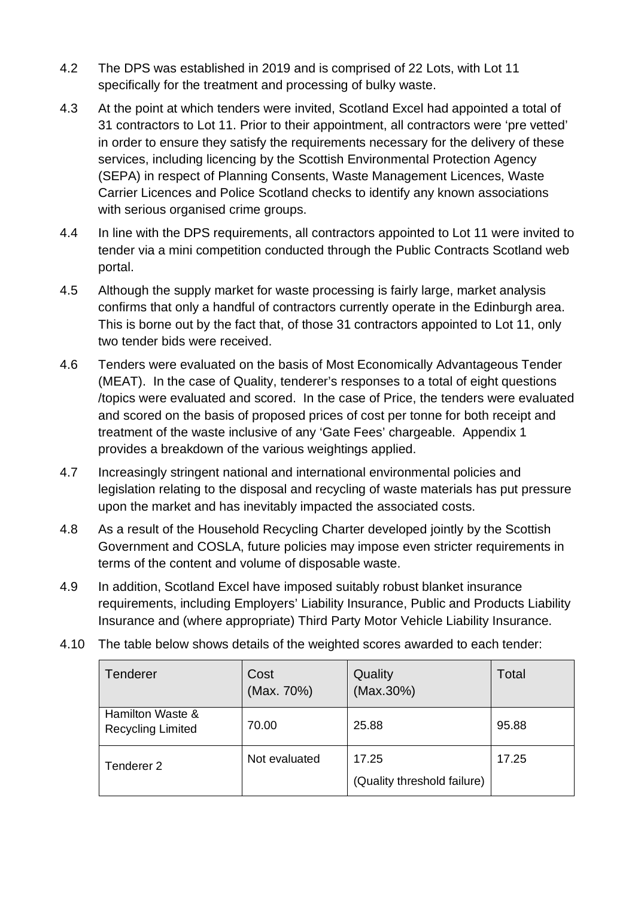- 4.2 The DPS was established in 2019 and is comprised of 22 Lots, with Lot 11 specifically for the treatment and processing of bulky waste.
- 4.3 At the point at which tenders were invited, Scotland Excel had appointed a total of 31 contractors to Lot 11. Prior to their appointment, all contractors were 'pre vetted' in order to ensure they satisfy the requirements necessary for the delivery of these services, including licencing by the Scottish Environmental Protection Agency (SEPA) in respect of Planning Consents, Waste Management Licences, Waste Carrier Licences and Police Scotland checks to identify any known associations with serious organised crime groups.
- 4.4 In line with the DPS requirements, all contractors appointed to Lot 11 were invited to tender via a mini competition conducted through the Public Contracts Scotland web portal.
- 4.5 Although the supply market for waste processing is fairly large, market analysis confirms that only a handful of contractors currently operate in the Edinburgh area. This is borne out by the fact that, of those 31 contractors appointed to Lot 11, only two tender bids were received.
- 4.6 Tenders were evaluated on the basis of Most Economically Advantageous Tender (MEAT). In the case of Quality, tenderer's responses to a total of eight questions /topics were evaluated and scored. In the case of Price, the tenders were evaluated and scored on the basis of proposed prices of cost per tonne for both receipt and treatment of the waste inclusive of any 'Gate Fees' chargeable. Appendix 1 provides a breakdown of the various weightings applied.
- 4.7 Increasingly stringent national and international environmental policies and legislation relating to the disposal and recycling of waste materials has put pressure upon the market and has inevitably impacted the associated costs.
- 4.8 As a result of the Household Recycling Charter developed jointly by the Scottish Government and COSLA, future policies may impose even stricter requirements in terms of the content and volume of disposable waste.
- 4.9 In addition, Scotland Excel have imposed suitably robust blanket insurance requirements, including Employers' Liability Insurance, Public and Products Liability Insurance and (where appropriate) Third Party Motor Vehicle Liability Insurance.
- 4.10 The table below shows details of the weighted scores awarded to each tender:

| <b>Tenderer</b>                              | Cost<br>(Max. 70%) | Quality<br>(Max.30%)                 | Total |
|----------------------------------------------|--------------------|--------------------------------------|-------|
| Hamilton Waste &<br><b>Recycling Limited</b> | 70.00              | 25.88                                | 95.88 |
| Tenderer <sub>2</sub>                        | Not evaluated      | 17.25<br>(Quality threshold failure) | 17.25 |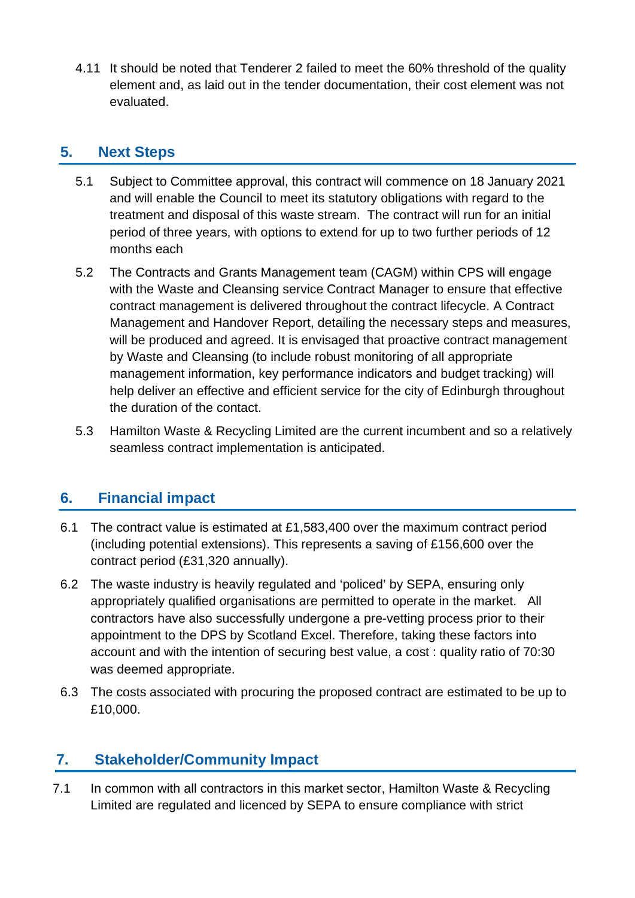4.11 It should be noted that Tenderer 2 failed to meet the 60% threshold of the quality element and, as laid out in the tender documentation, their cost element was not evaluated.

#### **5. Next Steps**

- 5.1 Subject to Committee approval, this contract will commence on 18 January 2021 and will enable the Council to meet its statutory obligations with regard to the treatment and disposal of this waste stream. The contract will run for an initial period of three years, with options to extend for up to two further periods of 12 months each
- 5.2 The Contracts and Grants Management team (CAGM) within CPS will engage with the Waste and Cleansing service Contract Manager to ensure that effective contract management is delivered throughout the contract lifecycle. A Contract Management and Handover Report, detailing the necessary steps and measures, will be produced and agreed. It is envisaged that proactive contract management by Waste and Cleansing (to include robust monitoring of all appropriate management information, key performance indicators and budget tracking) will help deliver an effective and efficient service for the city of Edinburgh throughout the duration of the contact.
- 5.3 Hamilton Waste & Recycling Limited are the current incumbent and so a relatively seamless contract implementation is anticipated.

## **6. Financial impact**

- 6.1 The contract value is estimated at £1,583,400 over the maximum contract period (including potential extensions). This represents a saving of £156,600 over the contract period (£31,320 annually).
- 6.2 The waste industry is heavily regulated and 'policed' by SEPA, ensuring only appropriately qualified organisations are permitted to operate in the market. All contractors have also successfully undergone a pre-vetting process prior to their appointment to the DPS by Scotland Excel. Therefore, taking these factors into account and with the intention of securing best value, a cost : quality ratio of 70:30 was deemed appropriate.
- 6.3 The costs associated with procuring the proposed contract are estimated to be up to £10,000.

## **7. Stakeholder/Community Impact**

7.1 In common with all contractors in this market sector, Hamilton Waste & Recycling Limited are regulated and licenced by SEPA to ensure compliance with strict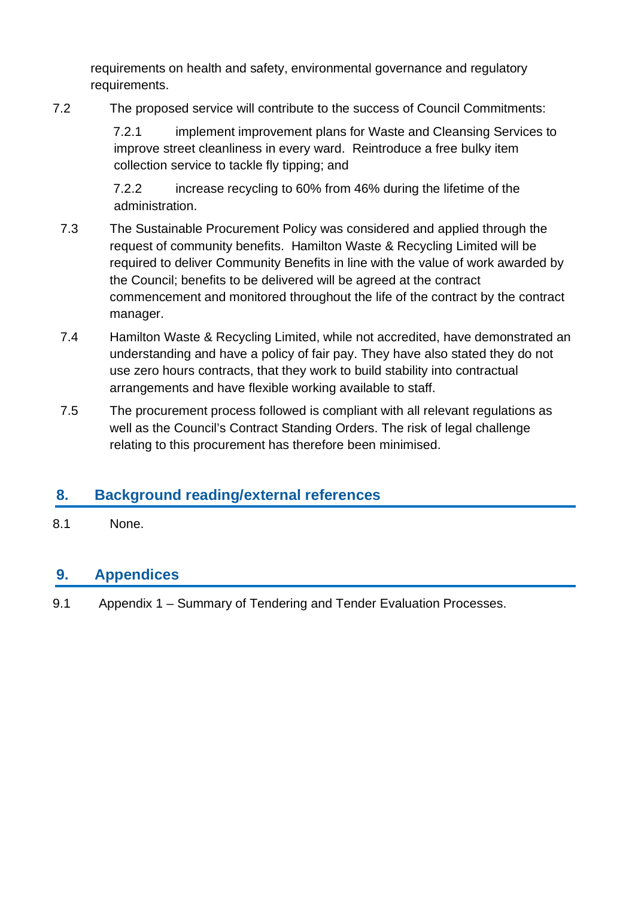requirements on health and safety, environmental governance and regulatory requirements.

7.2 The proposed service will contribute to the success of [Council Commitments:](https://www.edinburgh.gov.uk/council-commitments)

7.2.1 implement improvement plans for Waste and Cleansing Services to improve street cleanliness in every ward. Reintroduce a free bulky item collection service to tackle fly tipping; and

7.2.2 increase recycling to 60% from 46% during the lifetime of the administration.

- 7.3 The Sustainable Procurement Policy was considered and applied through the request of community benefits. Hamilton Waste & Recycling Limited will be required to deliver Community Benefits in line with the value of work awarded by the Council; benefits to be delivered will be agreed at the contract commencement and monitored throughout the life of the contract by the contract manager.
- 7.4 Hamilton Waste & Recycling Limited, while not accredited, have demonstrated an understanding and have a policy of fair pay. They have also stated they do not use zero hours contracts, that they work to build stability into contractual arrangements and have flexible working available to staff.
- 7.5 The procurement process followed is compliant with all relevant regulations as well as the Council's Contract Standing Orders. The risk of legal challenge relating to this procurement has therefore been minimised.

# **8. Background reading/external references**

8.1 None.

## **9. Appendices**

9.1 Appendix 1 – Summary of Tendering and Tender Evaluation Processes.